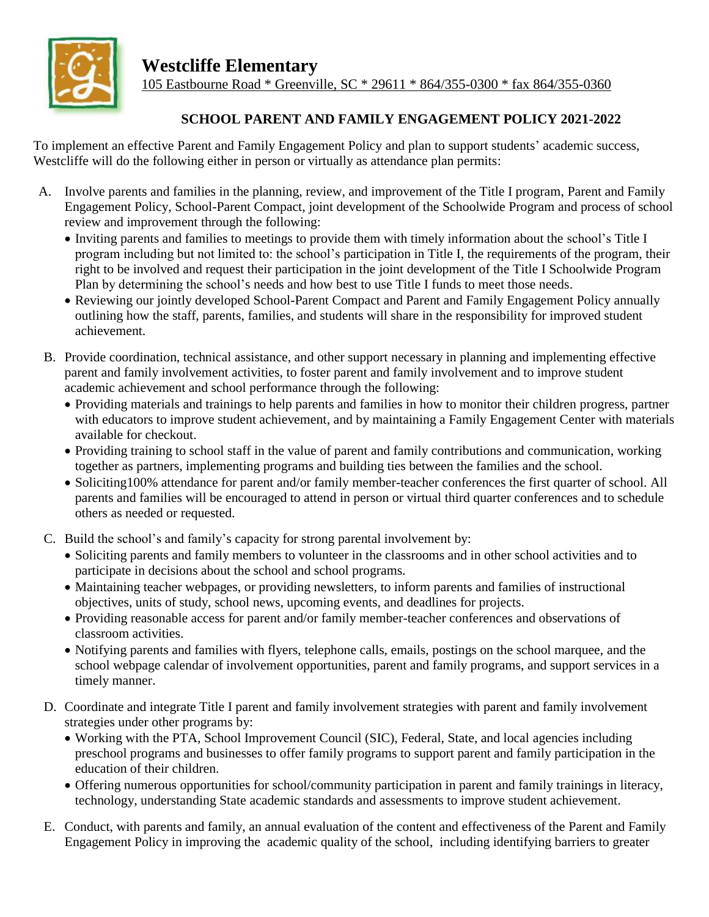

## **SCHOOL PARENT AND FAMILY ENGAGEMENT POLICY 2021-2022**

To implement an effective Parent and Family Engagement Policy and plan to support students' academic success, Westcliffe will do the following either in person or virtually as attendance plan permits:

- A. Involve parents and families in the planning, review, and improvement of the Title I program, Parent and Family Engagement Policy, School-Parent Compact, joint development of the Schoolwide Program and process of school review and improvement through the following:
	- Inviting parents and families to meetings to provide them with timely information about the school's Title I program including but not limited to: the school's participation in Title I, the requirements of the program, their right to be involved and request their participation in the joint development of the Title I Schoolwide Program Plan by determining the school's needs and how best to use Title I funds to meet those needs.
	- Reviewing our jointly developed School-Parent Compact and Parent and Family Engagement Policy annually outlining how the staff, parents, families, and students will share in the responsibility for improved student achievement.
- B. Provide coordination, technical assistance, and other support necessary in planning and implementing effective parent and family involvement activities, to foster parent and family involvement and to improve student academic achievement and school performance through the following:
	- Providing materials and trainings to help parents and families in how to monitor their children progress, partner with educators to improve student achievement, and by maintaining a Family Engagement Center with materials available for checkout.
	- Providing training to school staff in the value of parent and family contributions and communication, working together as partners, implementing programs and building ties between the families and the school.
	- Soliciting100% attendance for parent and/or family member-teacher conferences the first quarter of school. All parents and families will be encouraged to attend in person or virtual third quarter conferences and to schedule others as needed or requested.
- C. Build the school's and family's capacity for strong parental involvement by:
	- Soliciting parents and family members to volunteer in the classrooms and in other school activities and to participate in decisions about the school and school programs.
	- Maintaining teacher webpages, or providing newsletters, to inform parents and families of instructional objectives, units of study, school news, upcoming events, and deadlines for projects.
	- Providing reasonable access for parent and/or family member-teacher conferences and observations of classroom activities.
	- Notifying parents and families with flyers, telephone calls, emails, postings on the school marquee, and the school webpage calendar of involvement opportunities, parent and family programs, and support services in a timely manner.
- D. Coordinate and integrate Title I parent and family involvement strategies with parent and family involvement strategies under other programs by:
	- Working with the PTA, School Improvement Council (SIC), Federal, State, and local agencies including preschool programs and businesses to offer family programs to support parent and family participation in the education of their children.
	- Offering numerous opportunities for school/community participation in parent and family trainings in literacy, technology, understanding State academic standards and assessments to improve student achievement.
- E. Conduct, with parents and family, an annual evaluation of the content and effectiveness of the Parent and Family Engagement Policy in improving the academic quality of the school, including identifying barriers to greater